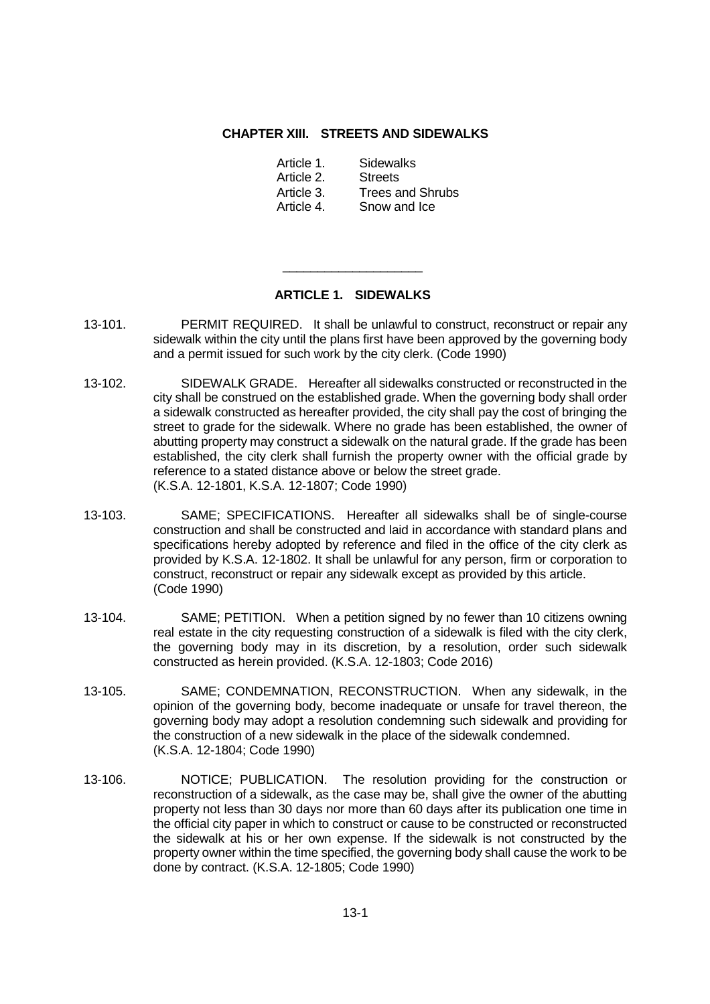# **CHAPTER XIII. STREETS AND SIDEWALKS**

Article 1. Sidewalks Article 2. Streets Article 3. Trees and Shrubs Article 4. Snow and Ice

#### **ARTICLE 1. SIDEWALKS**

\_\_\_\_\_\_\_\_\_\_\_\_\_\_\_\_\_\_\_\_

- 13-101. PERMIT REQUIRED. It shall be unlawful to construct, reconstruct or repair any sidewalk within the city until the plans first have been approved by the governing body and a permit issued for such work by the city clerk. (Code 1990)
- 13-102. SIDEWALK GRADE. Hereafter all sidewalks constructed or reconstructed in the city shall be construed on the established grade. When the governing body shall order a sidewalk constructed as hereafter provided, the city shall pay the cost of bringing the street to grade for the sidewalk. Where no grade has been established, the owner of abutting property may construct a sidewalk on the natural grade. If the grade has been established, the city clerk shall furnish the property owner with the official grade by reference to a stated distance above or below the street grade. (K.S.A. 12-1801, K.S.A. 12-1807; Code 1990)
- 13-103. SAME; SPECIFICATIONS. Hereafter all sidewalks shall be of single-course construction and shall be constructed and laid in accordance with standard plans and specifications hereby adopted by reference and filed in the office of the city clerk as provided by K.S.A. 12-1802. It shall be unlawful for any person, firm or corporation to construct, reconstruct or repair any sidewalk except as provided by this article. (Code 1990)
- 13-104. SAME; PETITION. When a petition signed by no fewer than 10 citizens owning real estate in the city requesting construction of a sidewalk is filed with the city clerk, the governing body may in its discretion, by a resolution, order such sidewalk constructed as herein provided. (K.S.A. 12-1803; Code 2016)
- 13-105. SAME; CONDEMNATION, RECONSTRUCTION. When any sidewalk, in the opinion of the governing body, become inadequate or unsafe for travel thereon, the governing body may adopt a resolution condemning such sidewalk and providing for the construction of a new sidewalk in the place of the sidewalk condemned. (K.S.A. 12-1804; Code 1990)
- 13-106. NOTICE; PUBLICATION. The resolution providing for the construction or reconstruction of a sidewalk, as the case may be, shall give the owner of the abutting property not less than 30 days nor more than 60 days after its publication one time in the official city paper in which to construct or cause to be constructed or reconstructed the sidewalk at his or her own expense. If the sidewalk is not constructed by the property owner within the time specified, the governing body shall cause the work to be done by contract. (K.S.A. 12-1805; Code 1990)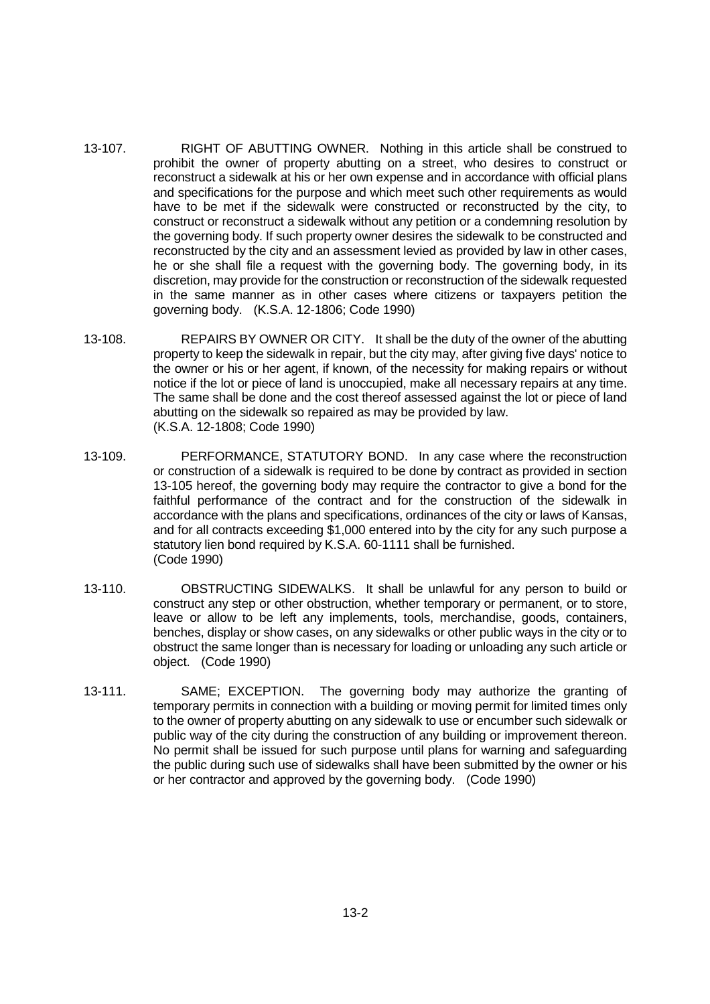- 13-107. RIGHT OF ABUTTING OWNER. Nothing in this article shall be construed to prohibit the owner of property abutting on a street, who desires to construct or reconstruct a sidewalk at his or her own expense and in accordance with official plans and specifications for the purpose and which meet such other requirements as would have to be met if the sidewalk were constructed or reconstructed by the city, to construct or reconstruct a sidewalk without any petition or a condemning resolution by the governing body. If such property owner desires the sidewalk to be constructed and reconstructed by the city and an assessment levied as provided by law in other cases, he or she shall file a request with the governing body. The governing body, in its discretion, may provide for the construction or reconstruction of the sidewalk requested in the same manner as in other cases where citizens or taxpayers petition the governing body. (K.S.A. 12-1806; Code 1990)
- 13-108. REPAIRS BY OWNER OR CITY. It shall be the duty of the owner of the abutting property to keep the sidewalk in repair, but the city may, after giving five days' notice to the owner or his or her agent, if known, of the necessity for making repairs or without notice if the lot or piece of land is unoccupied, make all necessary repairs at any time. The same shall be done and the cost thereof assessed against the lot or piece of land abutting on the sidewalk so repaired as may be provided by law. (K.S.A. 12-1808; Code 1990)
- 13-109. PERFORMANCE, STATUTORY BOND. In any case where the reconstruction or construction of a sidewalk is required to be done by contract as provided in section 13-105 hereof, the governing body may require the contractor to give a bond for the faithful performance of the contract and for the construction of the sidewalk in accordance with the plans and specifications, ordinances of the city or laws of Kansas, and for all contracts exceeding \$1,000 entered into by the city for any such purpose a statutory lien bond required by K.S.A. 60-1111 shall be furnished. (Code 1990)
- 13-110. OBSTRUCTING SIDEWALKS. It shall be unlawful for any person to build or construct any step or other obstruction, whether temporary or permanent, or to store, leave or allow to be left any implements, tools, merchandise, goods, containers, benches, display or show cases, on any sidewalks or other public ways in the city or to obstruct the same longer than is necessary for loading or unloading any such article or object. (Code 1990)
- 13-111. SAME; EXCEPTION. The governing body may authorize the granting of temporary permits in connection with a building or moving permit for limited times only to the owner of property abutting on any sidewalk to use or encumber such sidewalk or public way of the city during the construction of any building or improvement thereon. No permit shall be issued for such purpose until plans for warning and safeguarding the public during such use of sidewalks shall have been submitted by the owner or his or her contractor and approved by the governing body. (Code 1990)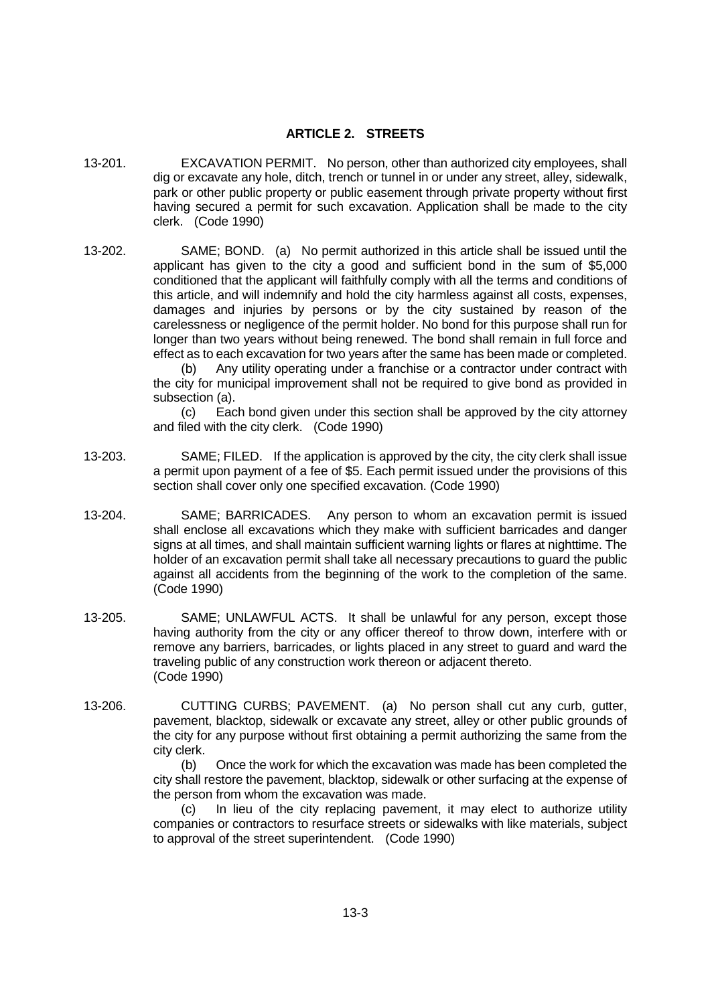### **ARTICLE 2. STREETS**

- 13-201. EXCAVATION PERMIT. No person, other than authorized city employees, shall dig or excavate any hole, ditch, trench or tunnel in or under any street, alley, sidewalk, park or other public property or public easement through private property without first having secured a permit for such excavation. Application shall be made to the city clerk. (Code 1990)
- 13-202. SAME; BOND. (a) No permit authorized in this article shall be issued until the applicant has given to the city a good and sufficient bond in the sum of \$5,000 conditioned that the applicant will faithfully comply with all the terms and conditions of this article, and will indemnify and hold the city harmless against all costs, expenses, damages and injuries by persons or by the city sustained by reason of the carelessness or negligence of the permit holder. No bond for this purpose shall run for longer than two years without being renewed. The bond shall remain in full force and effect as to each excavation for two years after the same has been made or completed.

(b) Any utility operating under a franchise or a contractor under contract with the city for municipal improvement shall not be required to give bond as provided in subsection (a).

(c) Each bond given under this section shall be approved by the city attorney and filed with the city clerk. (Code 1990)

- 13-203. SAME; FILED. If the application is approved by the city, the city clerk shall issue a permit upon payment of a fee of \$5. Each permit issued under the provisions of this section shall cover only one specified excavation. (Code 1990)
- 13-204. SAME; BARRICADES. Any person to whom an excavation permit is issued shall enclose all excavations which they make with sufficient barricades and danger signs at all times, and shall maintain sufficient warning lights or flares at nighttime. The holder of an excavation permit shall take all necessary precautions to guard the public against all accidents from the beginning of the work to the completion of the same. (Code 1990)
- 13-205. SAME; UNLAWFUL ACTS. It shall be unlawful for any person, except those having authority from the city or any officer thereof to throw down, interfere with or remove any barriers, barricades, or lights placed in any street to guard and ward the traveling public of any construction work thereon or adjacent thereto. (Code 1990)
- 13-206. CUTTING CURBS; PAVEMENT. (a) No person shall cut any curb, gutter, pavement, blacktop, sidewalk or excavate any street, alley or other public grounds of the city for any purpose without first obtaining a permit authorizing the same from the city clerk.

(b) Once the work for which the excavation was made has been completed the city shall restore the pavement, blacktop, sidewalk or other surfacing at the expense of the person from whom the excavation was made.

(c) In lieu of the city replacing pavement, it may elect to authorize utility companies or contractors to resurface streets or sidewalks with like materials, subject to approval of the street superintendent. (Code 1990)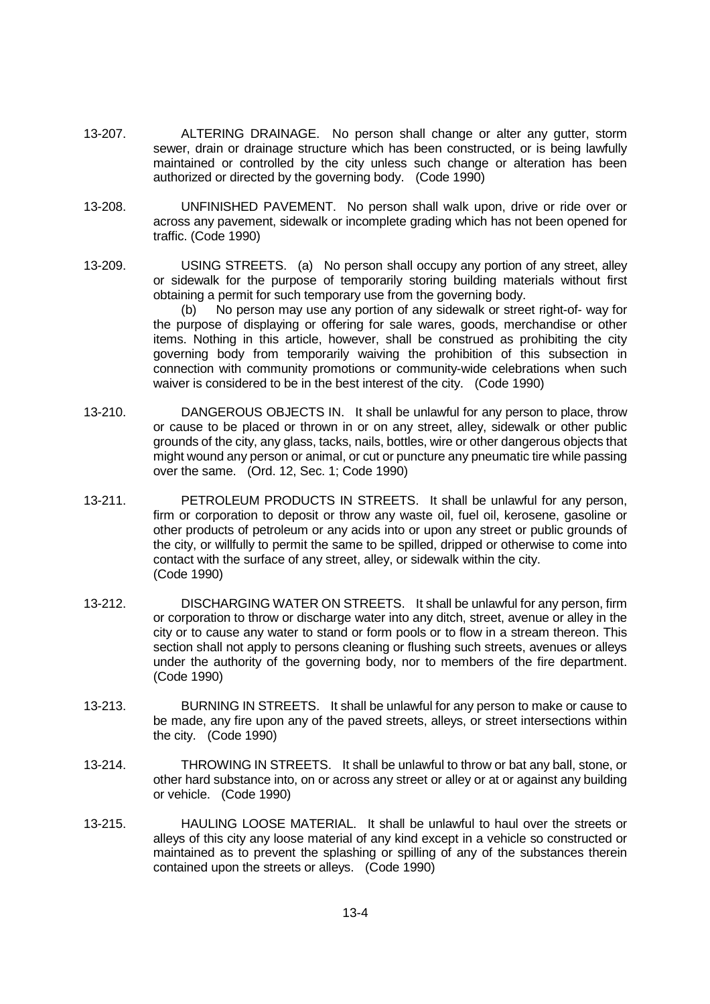- 13-207. ALTERING DRAINAGE. No person shall change or alter any gutter, storm sewer, drain or drainage structure which has been constructed, or is being lawfully maintained or controlled by the city unless such change or alteration has been authorized or directed by the governing body. (Code 1990)
- 13-208. UNFINISHED PAVEMENT. No person shall walk upon, drive or ride over or across any pavement, sidewalk or incomplete grading which has not been opened for traffic. (Code 1990)
- 13-209. USING STREETS. (a) No person shall occupy any portion of any street, alley or sidewalk for the purpose of temporarily storing building materials without first obtaining a permit for such temporary use from the governing body.

(b) No person may use any portion of any sidewalk or street right-of- way for the purpose of displaying or offering for sale wares, goods, merchandise or other items. Nothing in this article, however, shall be construed as prohibiting the city governing body from temporarily waiving the prohibition of this subsection in connection with community promotions or community-wide celebrations when such waiver is considered to be in the best interest of the city. (Code 1990)

- 13-210. DANGEROUS OBJECTS IN. It shall be unlawful for any person to place, throw or cause to be placed or thrown in or on any street, alley, sidewalk or other public grounds of the city, any glass, tacks, nails, bottles, wire or other dangerous objects that might wound any person or animal, or cut or puncture any pneumatic tire while passing over the same. (Ord. 12, Sec. 1; Code 1990)
- 13-211. PETROLEUM PRODUCTS IN STREETS. It shall be unlawful for any person, firm or corporation to deposit or throw any waste oil, fuel oil, kerosene, gasoline or other products of petroleum or any acids into or upon any street or public grounds of the city, or willfully to permit the same to be spilled, dripped or otherwise to come into contact with the surface of any street, alley, or sidewalk within the city. (Code 1990)
- 13-212. DISCHARGING WATER ON STREETS. It shall be unlawful for any person, firm or corporation to throw or discharge water into any ditch, street, avenue or alley in the city or to cause any water to stand or form pools or to flow in a stream thereon. This section shall not apply to persons cleaning or flushing such streets, avenues or alleys under the authority of the governing body, nor to members of the fire department. (Code 1990)
- 13-213. BURNING IN STREETS. It shall be unlawful for any person to make or cause to be made, any fire upon any of the paved streets, alleys, or street intersections within the city. (Code 1990)
- 13-214. THROWING IN STREETS. It shall be unlawful to throw or bat any ball, stone, or other hard substance into, on or across any street or alley or at or against any building or vehicle. (Code 1990)
- 13-215. HAULING LOOSE MATERIAL. It shall be unlawful to haul over the streets or alleys of this city any loose material of any kind except in a vehicle so constructed or maintained as to prevent the splashing or spilling of any of the substances therein contained upon the streets or alleys. (Code 1990)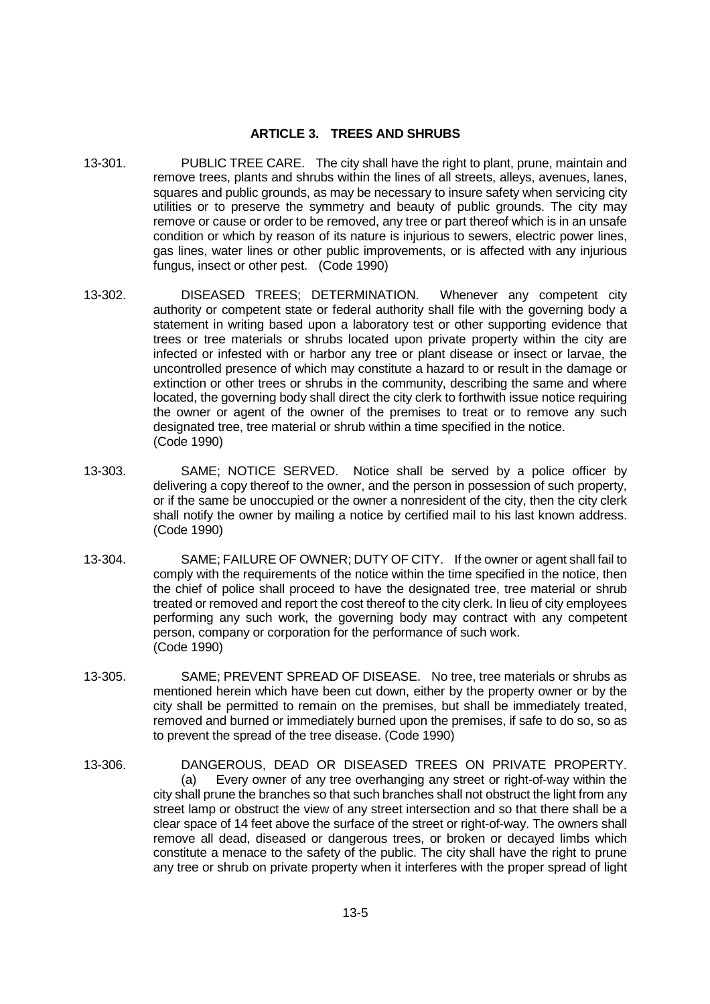# **ARTICLE 3. TREES AND SHRUBS**

- 13-301. PUBLIC TREE CARE. The city shall have the right to plant, prune, maintain and remove trees, plants and shrubs within the lines of all streets, alleys, avenues, lanes, squares and public grounds, as may be necessary to insure safety when servicing city utilities or to preserve the symmetry and beauty of public grounds. The city may remove or cause or order to be removed, any tree or part thereof which is in an unsafe condition or which by reason of its nature is injurious to sewers, electric power lines, gas lines, water lines or other public improvements, or is affected with any injurious fungus, insect or other pest. (Code 1990)
- 13-302. DISEASED TREES; DETERMINATION. Whenever any competent city authority or competent state or federal authority shall file with the governing body a statement in writing based upon a laboratory test or other supporting evidence that trees or tree materials or shrubs located upon private property within the city are infected or infested with or harbor any tree or plant disease or insect or larvae, the uncontrolled presence of which may constitute a hazard to or result in the damage or extinction or other trees or shrubs in the community, describing the same and where located, the governing body shall direct the city clerk to forthwith issue notice requiring the owner or agent of the owner of the premises to treat or to remove any such designated tree, tree material or shrub within a time specified in the notice. (Code 1990)
- 13-303. SAME; NOTICE SERVED. Notice shall be served by a police officer by delivering a copy thereof to the owner, and the person in possession of such property, or if the same be unoccupied or the owner a nonresident of the city, then the city clerk shall notify the owner by mailing a notice by certified mail to his last known address. (Code 1990)
- 13-304. SAME; FAILURE OF OWNER; DUTY OF CITY. If the owner or agent shall fail to comply with the requirements of the notice within the time specified in the notice, then the chief of police shall proceed to have the designated tree, tree material or shrub treated or removed and report the cost thereof to the city clerk. In lieu of city employees performing any such work, the governing body may contract with any competent person, company or corporation for the performance of such work. (Code 1990)
- 13-305. SAME; PREVENT SPREAD OF DISEASE. No tree, tree materials or shrubs as mentioned herein which have been cut down, either by the property owner or by the city shall be permitted to remain on the premises, but shall be immediately treated, removed and burned or immediately burned upon the premises, if safe to do so, so as to prevent the spread of the tree disease. (Code 1990)
- 13-306. DANGEROUS, DEAD OR DISEASED TREES ON PRIVATE PROPERTY. (a) Every owner of any tree overhanging any street or right-of-way within the city shall prune the branches so that such branches shall not obstruct the light from any street lamp or obstruct the view of any street intersection and so that there shall be a clear space of 14 feet above the surface of the street or right-of-way. The owners shall remove all dead, diseased or dangerous trees, or broken or decayed limbs which constitute a menace to the safety of the public. The city shall have the right to prune any tree or shrub on private property when it interferes with the proper spread of light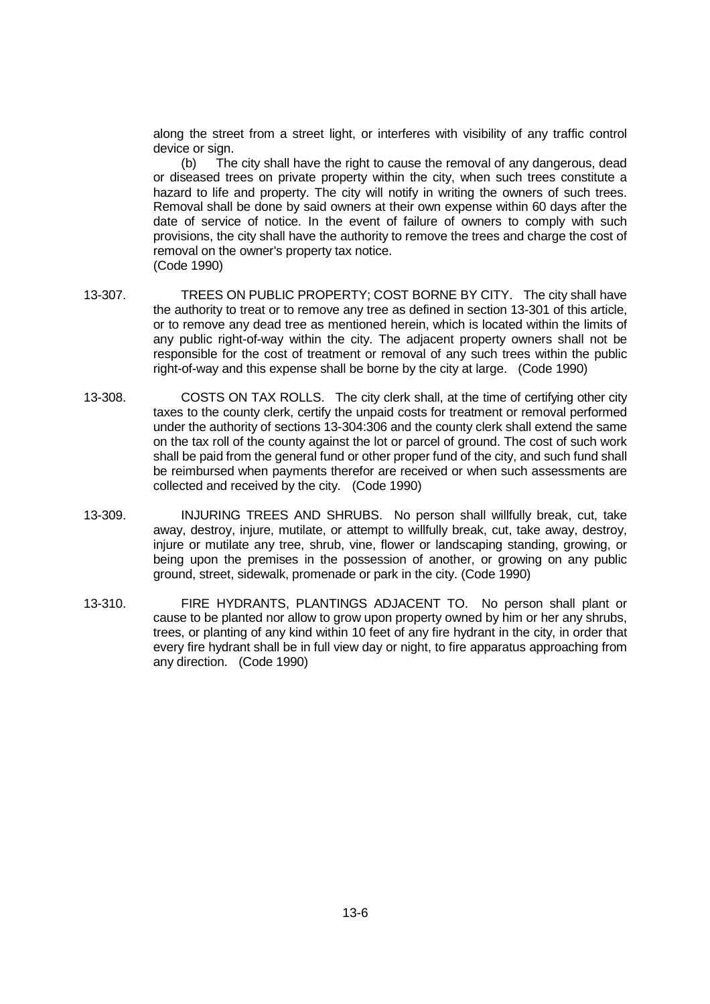along the street from a street light, or interferes with visibility of any traffic control device or sign.

(b) The city shall have the right to cause the removal of any dangerous, dead or diseased trees on private property within the city, when such trees constitute a hazard to life and property. The city will notify in writing the owners of such trees. Removal shall be done by said owners at their own expense within 60 days after the date of service of notice. In the event of failure of owners to comply with such provisions, the city shall have the authority to remove the trees and charge the cost of removal on the owner's property tax notice. (Code 1990)

- 13-307. TREES ON PUBLIC PROPERTY; COST BORNE BY CITY. The city shall have the authority to treat or to remove any tree as defined in section 13-301 of this article, or to remove any dead tree as mentioned herein, which is located within the limits of any public right-of-way within the city. The adjacent property owners shall not be responsible for the cost of treatment or removal of any such trees within the public right-of-way and this expense shall be borne by the city at large. (Code 1990)
- 13-308. COSTS ON TAX ROLLS. The city clerk shall, at the time of certifying other city taxes to the county clerk, certify the unpaid costs for treatment or removal performed under the authority of sections 13-304:306 and the county clerk shall extend the same on the tax roll of the county against the lot or parcel of ground. The cost of such work shall be paid from the general fund or other proper fund of the city, and such fund shall be reimbursed when payments therefor are received or when such assessments are collected and received by the city. (Code 1990)
- 13-309. INJURING TREES AND SHRUBS. No person shall willfully break, cut, take away, destroy, injure, mutilate, or attempt to willfully break, cut, take away, destroy, injure or mutilate any tree, shrub, vine, flower or landscaping standing, growing, or being upon the premises in the possession of another, or growing on any public ground, street, sidewalk, promenade or park in the city. (Code 1990)
- 13-310. FIRE HYDRANTS, PLANTINGS ADJACENT TO. No person shall plant or cause to be planted nor allow to grow upon property owned by him or her any shrubs, trees, or planting of any kind within 10 feet of any fire hydrant in the city, in order that every fire hydrant shall be in full view day or night, to fire apparatus approaching from any direction. (Code 1990)